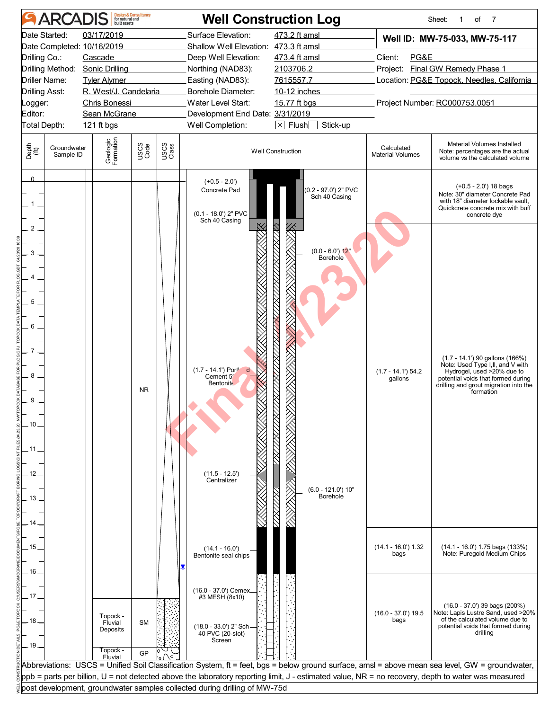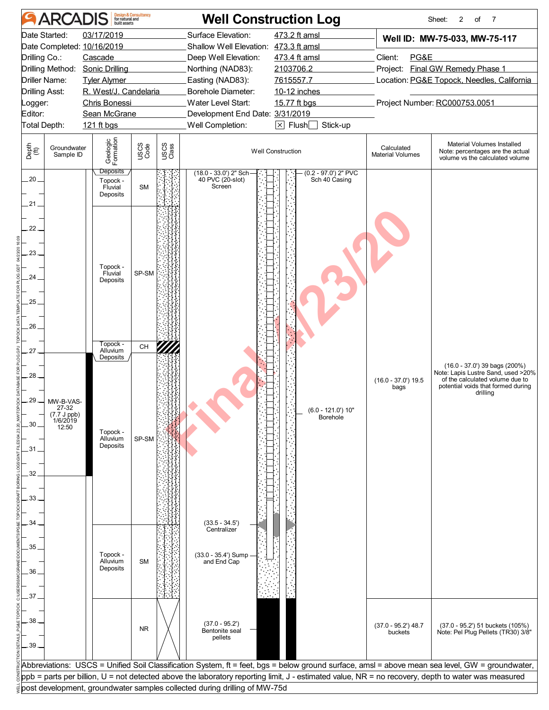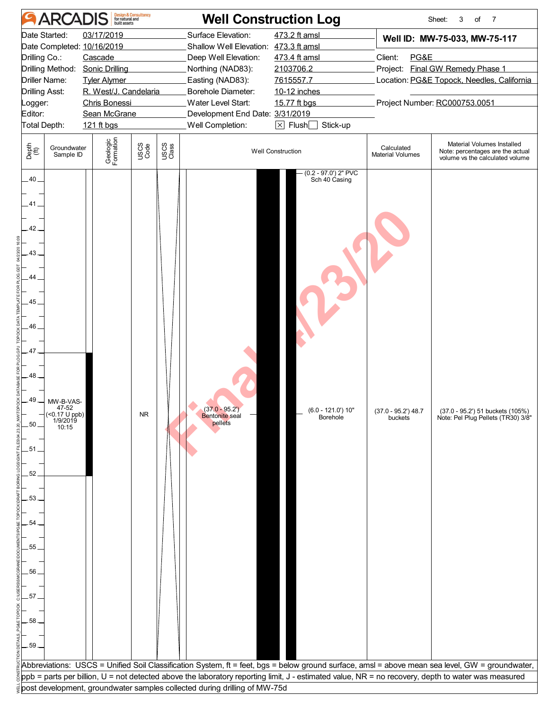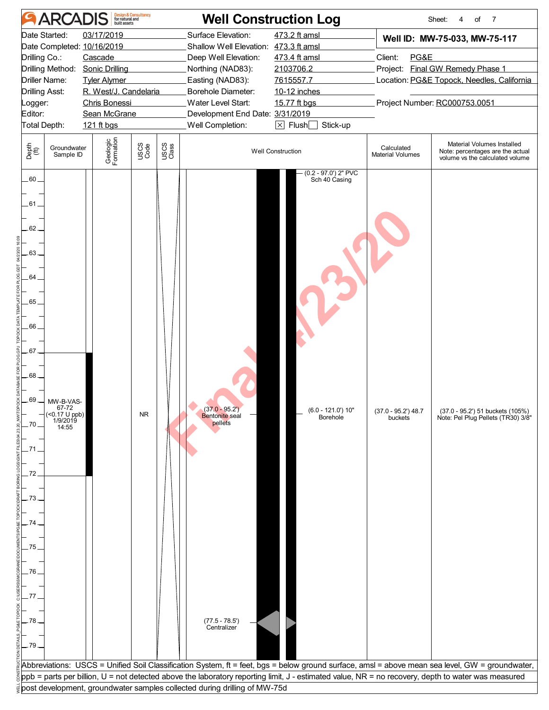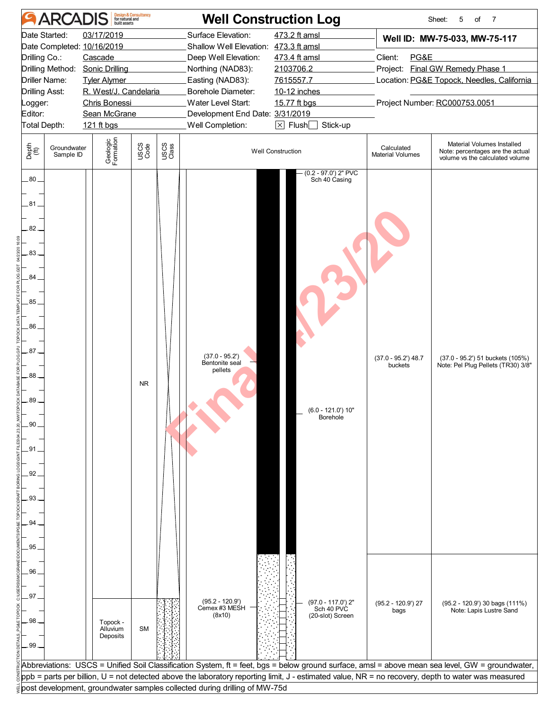| <b>ARCADIS</b>                                                                                                                                            | <b>Design &amp; Consultancy</b><br>for natural and<br>built assets                                                                                   | <b>Well Construction Log</b>                                                                                                                                                                                                                                                                                                                                                       |                                                                                                                                  |                                                                                                                                                                     | Sheet:<br>5<br>of<br>7                                                                            |  |  |
|-----------------------------------------------------------------------------------------------------------------------------------------------------------|------------------------------------------------------------------------------------------------------------------------------------------------------|------------------------------------------------------------------------------------------------------------------------------------------------------------------------------------------------------------------------------------------------------------------------------------------------------------------------------------------------------------------------------------|----------------------------------------------------------------------------------------------------------------------------------|---------------------------------------------------------------------------------------------------------------------------------------------------------------------|---------------------------------------------------------------------------------------------------|--|--|
| Date Started:<br>Date Completed: 10/16/2019<br>Drilling Co.:<br>Drilling Method:<br>Driller Name:<br>Drilling Asst:<br>Logger:<br>Editor:<br>Total Depth: | 03/17/2019<br>Cascade<br><b>Sonic Drilling</b><br><b>Tyler Alymer</b><br>R. West/J. Candelaria<br><b>Chris Bonessi</b><br>Sean McGrane<br>121 ft bgs | Surface Elevation:<br>Shallow Well Elevation: 473.3 ft amsl<br>Deep Well Elevation:<br>Northing (NAD83):<br>Easting (NAD83):<br>Borehole Diameter:<br>Water Level Start:<br>Development End Date: 3/31/2019<br>Well Completion:                                                                                                                                                    | 473.2 ft amsl<br>473.4 ft amsl<br>2103706.2<br>7615557.7<br>10-12 inches<br>15.77 ft bgs<br>$\boxtimes$ Flush $\Box$<br>Stick-up | Well ID: MW-75-033, MW-75-117<br>Client:<br>PG&E<br>Project: Final GW Remedy Phase 1<br>Location: PG&E Topock, Needles, California<br>Project Number: RC000753.0051 |                                                                                                   |  |  |
| Depth<br>(ft)<br>Groundwater<br>Sample ID                                                                                                                 | Geologic<br>Formation<br>USCS<br>Code                                                                                                                | USCS<br>Class                                                                                                                                                                                                                                                                                                                                                                      | <b>Well Construction</b>                                                                                                         | Calculated<br><b>Material Volumes</b>                                                                                                                               | Material Volumes Installed<br>Note: percentages are the actual<br>volume vs the calculated volume |  |  |
| $.80-$<br>.81<br>82.<br>.83.<br>84.<br>.85<br>.86<br>87.<br>88.<br>89.<br>90<br>91<br>92<br>93<br>94<br>95                                                | <b>NR</b>                                                                                                                                            | $(37.0 - 95.2')$<br>Bentonite seal<br>pellets                                                                                                                                                                                                                                                                                                                                      | $(0.2 - 97.0')$ 2" PVC<br>Sch 40 Casing<br>$(6.0 - 121.0')$ 10"<br>Borehole                                                      | $(37.0 - 95.2)$ 48.7<br>buckets                                                                                                                                     | (37.0 - 95.2') 51 buckets (105%)<br>Note: Pel Plug Pellets (TR30) 3/8"                            |  |  |
| 96<br>97<br>98<br>.99.                                                                                                                                    | Topock -<br>Alluvium<br><b>SM</b><br>Deposits                                                                                                        | (95.2 - 120.9')<br>Cemex #3 MESH<br>(8x10)                                                                                                                                                                                                                                                                                                                                         | (97.0 - 117.0') 2"<br>Sch 40 PVC<br>(20-slot) Screen                                                                             | $(95.2 - 120.9)$ 27<br>bags                                                                                                                                         | (95.2 - 120.9') 30 bags (111%)<br>Note: Lapis Lustre Sand                                         |  |  |
|                                                                                                                                                           |                                                                                                                                                      | Abbreviations: USCS = Unified Soil Classification System, ft = feet, bgs = below ground surface, amsl = above mean sea level, GW = groundwater,<br>ppb = parts per billion, U = not detected above the laboratory reporting limit, J - estimated value, NR = no recovery, depth to water was measured<br>post development, groundwater samples collected during drilling of MW-75d |                                                                                                                                  |                                                                                                                                                                     |                                                                                                   |  |  |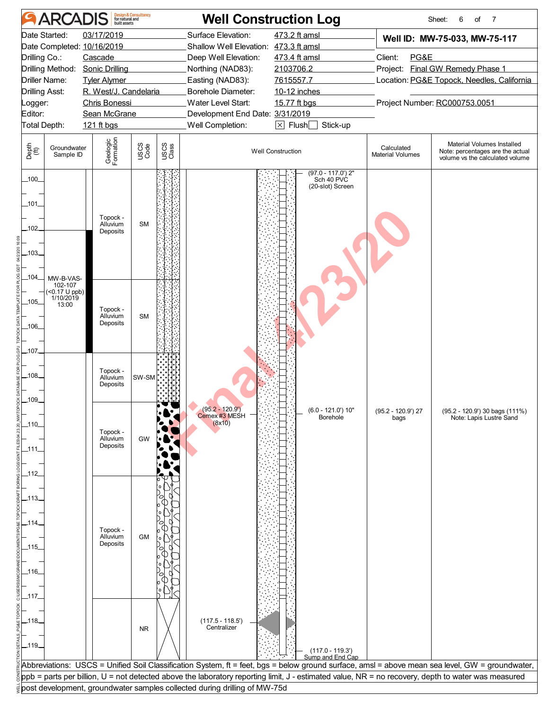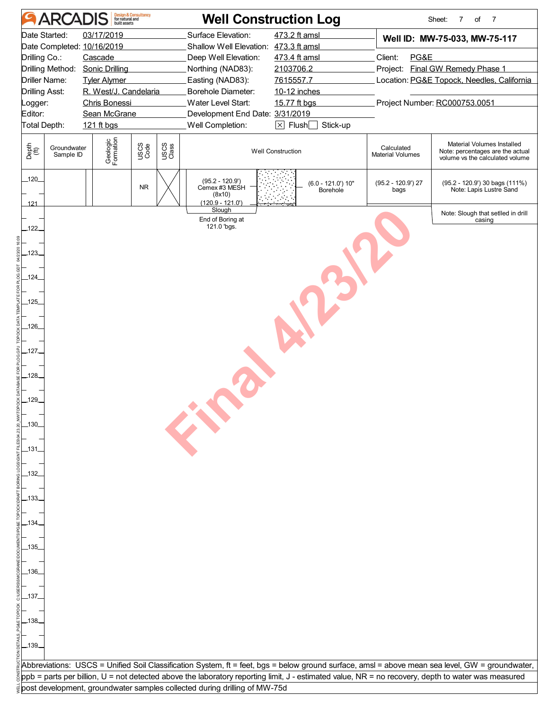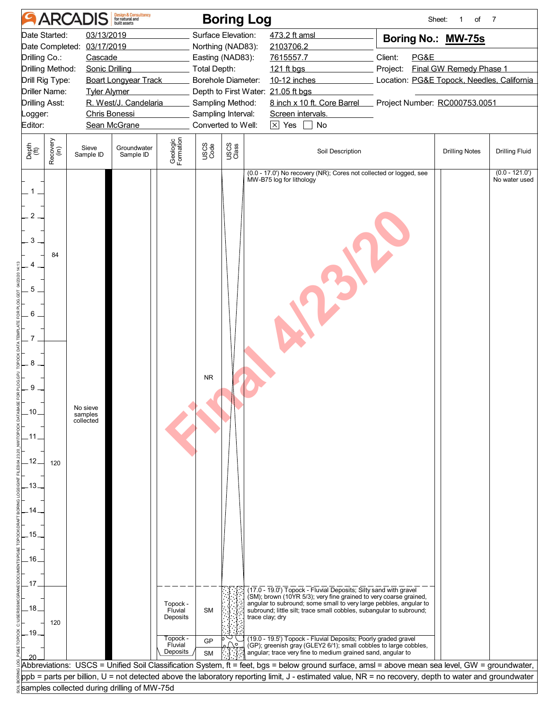| Date Started:<br>03/13/2019<br>Surface Elevation:<br>473.2 ft amsl<br>Boring No.: MW-75s<br>Date Completed: 03/17/2019<br>Northing (NAD83):<br>2103706.2<br>Client:<br>Drilling Co.:<br>7615557.7<br>PG&E<br>Cascade<br>Easting (NAD83):<br>Drilling Method:<br><b>Sonic Drilling</b><br>Final GW Remedy Phase 1<br>Total Depth:<br>121 ft bgs<br>Project:<br>Drill Rig Type:<br><b>Boart Longyear Track</b><br>Borehole Diameter:<br>10-12 inches<br>Driller Name:<br>Depth to First Water: 21.05 ft bgs<br><b>Tyler Alymer</b><br>R. West/J. Candelaria<br>8 inch x 10 ft. Core Barrel Project Number: RC000753.0051<br><b>Drilling Asst:</b><br>Sampling Method:<br>Sampling Interval:<br>Chris Bonessi<br>Screen intervals.<br>Logger:<br>Sean McGrane<br>Converted to Well:<br>$\overline{\times}$ Yes<br>Editor:<br>No<br>$\blacksquare$<br>Geologic<br>Formation<br>Recovery<br>(in)<br>USCS<br>Class<br>Depth<br>(ft)<br>USCS<br>Code<br>Groundwater<br>Sieve<br>Soil Description<br><b>Drilling Notes</b><br>Sample ID<br>Sample ID<br>(0.0 - 17.0') No recovery (NR); Cores not collected or logged, see<br>MW-B75 log for lithology<br>$\overline{c}$<br>3<br>84<br>5<br>6<br>7<br>8<br><b>NR</b><br>9<br>No sieve<br>.10.<br>samples<br>collected<br>.11<br>.12.<br>120<br>.13.<br>.15.<br>.16.<br>.17<br>(17.0 - 19.0') Topock - Fluvial Deposits; Silty sand with gravel<br>(SM); brown (10YR 5/3); very fine grained to very coarse grained,<br>angular to subround; some small to very large pebbles, angular to<br>Topock -<br>.18.<br><b>SM</b><br>subround; little silt; trace small cobbles, subangular to subround;<br>Fluvial<br>trace clay; dry<br>Deposits<br>120<br>.19<br>Topock -<br>(19.0 - 19.5') Topock - Fluvial Deposits; Poorly graded gravel<br>GP<br>Fluvial<br>$\bigcap$<br>(GP); greenish gray (GLEY2 6/1); small cobbles to large cobbles,<br>Deposits<br>angular; trace very fine to medium grained sand, angular to<br><b>SM</b><br>Abbreviations: USCS = Unified Soil Classification System, ft = feet, bgs = below ground surface, amsl = above mean sea level, GW = groundwater, | <b>ARCADIS</b> | <b>Design &amp; Consultancy</b><br>for natural and | <b>Boring Log</b> |                                            | Sheet:<br>of<br>1 | $\overline{7}$                   |  |
|-----------------------------------------------------------------------------------------------------------------------------------------------------------------------------------------------------------------------------------------------------------------------------------------------------------------------------------------------------------------------------------------------------------------------------------------------------------------------------------------------------------------------------------------------------------------------------------------------------------------------------------------------------------------------------------------------------------------------------------------------------------------------------------------------------------------------------------------------------------------------------------------------------------------------------------------------------------------------------------------------------------------------------------------------------------------------------------------------------------------------------------------------------------------------------------------------------------------------------------------------------------------------------------------------------------------------------------------------------------------------------------------------------------------------------------------------------------------------------------------------------------------------------------------------------------------------------------------------------------------------------------------------------------------------------------------------------------------------------------------------------------------------------------------------------------------------------------------------------------------------------------------------------------------------------------------------------------------------------------------------------------------------------------------------------------------------------------------------------------------------------|----------------|----------------------------------------------------|-------------------|--------------------------------------------|-------------------|----------------------------------|--|
|                                                                                                                                                                                                                                                                                                                                                                                                                                                                                                                                                                                                                                                                                                                                                                                                                                                                                                                                                                                                                                                                                                                                                                                                                                                                                                                                                                                                                                                                                                                                                                                                                                                                                                                                                                                                                                                                                                                                                                                                                                                                                                                             |                |                                                    |                   | Location: PG&E Topock, Needles, California |                   |                                  |  |
|                                                                                                                                                                                                                                                                                                                                                                                                                                                                                                                                                                                                                                                                                                                                                                                                                                                                                                                                                                                                                                                                                                                                                                                                                                                                                                                                                                                                                                                                                                                                                                                                                                                                                                                                                                                                                                                                                                                                                                                                                                                                                                                             |                |                                                    |                   |                                            |                   | <b>Drilling Fluid</b>            |  |
|                                                                                                                                                                                                                                                                                                                                                                                                                                                                                                                                                                                                                                                                                                                                                                                                                                                                                                                                                                                                                                                                                                                                                                                                                                                                                                                                                                                                                                                                                                                                                                                                                                                                                                                                                                                                                                                                                                                                                                                                                                                                                                                             |                |                                                    |                   |                                            |                   | $(0.0 - 121.0)$<br>No water used |  |
|                                                                                                                                                                                                                                                                                                                                                                                                                                                                                                                                                                                                                                                                                                                                                                                                                                                                                                                                                                                                                                                                                                                                                                                                                                                                                                                                                                                                                                                                                                                                                                                                                                                                                                                                                                                                                                                                                                                                                                                                                                                                                                                             |                |                                                    |                   |                                            |                   |                                  |  |
| ppb = parts per billion, U = not detected above the laboratory reporting limit, J - estimated value, NR = no recovery, depth to water and groundwater                                                                                                                                                                                                                                                                                                                                                                                                                                                                                                                                                                                                                                                                                                                                                                                                                                                                                                                                                                                                                                                                                                                                                                                                                                                                                                                                                                                                                                                                                                                                                                                                                                                                                                                                                                                                                                                                                                                                                                       |                |                                                    |                   |                                            |                   |                                  |  |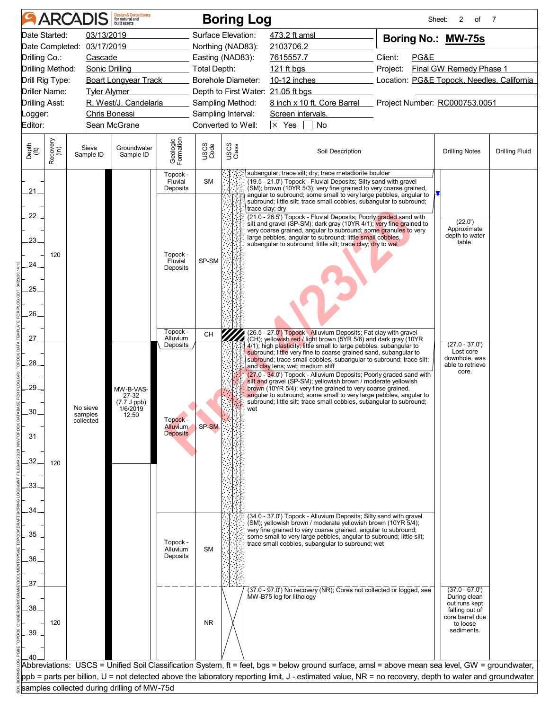| 03/13/2019<br>Surface Elevation:<br>Date Started:<br>473.2 ft amsl<br>Boring No.: MW-75s<br>Date Completed: 03/17/2019<br>2103706.2<br>Northing (NAD83):<br>Drilling Co.:<br>Client:<br>PG&E<br>Cascade<br>Easting (NAD83):<br>7615557.7<br>Total Depth:<br>Final GW Remedy Phase 1<br>Drilling Method:<br><b>Sonic Drilling</b><br>121 ft bgs<br>Project:<br><b>Boart Longyear Track</b><br>Borehole Diameter:<br>$10-12$ inches<br>Location: PG&E Topock, Needles, California<br>Drill Rig Type:<br><b>Driller Name:</b><br>Depth to First Water: 21.05 ft bgs<br><b>Tyler Alymer</b><br>R. West/J. Candelaria<br>8 inch x 10 ft. Core Barrel Project Number: RC000753.0051<br><b>Drilling Asst:</b><br>Sampling Method:<br><b>Chris Bonessi</b><br>Sampling Interval:<br>Screen intervals.<br>Logger:<br>Converted to Well:<br>$\boxed{\times}$ Yes $\boxed{\phantom{1}}$ No<br>Editor:<br>Sean McGrane<br>Groundwater |                       |
|---------------------------------------------------------------------------------------------------------------------------------------------------------------------------------------------------------------------------------------------------------------------------------------------------------------------------------------------------------------------------------------------------------------------------------------------------------------------------------------------------------------------------------------------------------------------------------------------------------------------------------------------------------------------------------------------------------------------------------------------------------------------------------------------------------------------------------------------------------------------------------------------------------------------------|-----------------------|
|                                                                                                                                                                                                                                                                                                                                                                                                                                                                                                                                                                                                                                                                                                                                                                                                                                                                                                                           |                       |
|                                                                                                                                                                                                                                                                                                                                                                                                                                                                                                                                                                                                                                                                                                                                                                                                                                                                                                                           |                       |
|                                                                                                                                                                                                                                                                                                                                                                                                                                                                                                                                                                                                                                                                                                                                                                                                                                                                                                                           |                       |
|                                                                                                                                                                                                                                                                                                                                                                                                                                                                                                                                                                                                                                                                                                                                                                                                                                                                                                                           |                       |
|                                                                                                                                                                                                                                                                                                                                                                                                                                                                                                                                                                                                                                                                                                                                                                                                                                                                                                                           |                       |
|                                                                                                                                                                                                                                                                                                                                                                                                                                                                                                                                                                                                                                                                                                                                                                                                                                                                                                                           |                       |
|                                                                                                                                                                                                                                                                                                                                                                                                                                                                                                                                                                                                                                                                                                                                                                                                                                                                                                                           |                       |
|                                                                                                                                                                                                                                                                                                                                                                                                                                                                                                                                                                                                                                                                                                                                                                                                                                                                                                                           |                       |
|                                                                                                                                                                                                                                                                                                                                                                                                                                                                                                                                                                                                                                                                                                                                                                                                                                                                                                                           |                       |
| Geologic<br>Formation<br>Recovery<br>(in)<br>USCS<br>Class<br>USCS<br>Code<br>Depth<br>(ft)<br>Sieve<br>Soil Description<br><b>Drilling Notes</b><br>Sample ID<br>Sample ID                                                                                                                                                                                                                                                                                                                                                                                                                                                                                                                                                                                                                                                                                                                                               | <b>Drilling Fluid</b> |
| subangular; trace silt; dry; trace metadiorite boulder<br>Topock -<br><b>SM</b><br>Fluvial<br>(19.5 - 21.0') Topock - Fluvial Deposits; Silty sand with gravel                                                                                                                                                                                                                                                                                                                                                                                                                                                                                                                                                                                                                                                                                                                                                            |                       |
| Deposits<br>(SM); brown (10YR 5/3); very fine grained to very coarse grained,<br>.21.                                                                                                                                                                                                                                                                                                                                                                                                                                                                                                                                                                                                                                                                                                                                                                                                                                     |                       |
| angular to subround; some small to very large pebbles, angular to<br>subround; little silt; trace small cobbles, subangular to subround;                                                                                                                                                                                                                                                                                                                                                                                                                                                                                                                                                                                                                                                                                                                                                                                  |                       |
| trace clay; dry<br>22.<br>(21.0 - 26.5') Topock - Fluvial Deposits; Poorly graded sand with                                                                                                                                                                                                                                                                                                                                                                                                                                                                                                                                                                                                                                                                                                                                                                                                                               |                       |
| (22.0')<br>silt and gravel (SP-SM); dark gray (10YR 4/1); very fine grained to                                                                                                                                                                                                                                                                                                                                                                                                                                                                                                                                                                                                                                                                                                                                                                                                                                            |                       |
| Approximate<br>very coarse grained, angular to subround; some granules to very<br>depth to water<br>large pebbles, angular to subround; little small cobbles,<br>$-23$                                                                                                                                                                                                                                                                                                                                                                                                                                                                                                                                                                                                                                                                                                                                                    |                       |
| table.<br>subangular to subround; little silt; trace clay; dry to wet                                                                                                                                                                                                                                                                                                                                                                                                                                                                                                                                                                                                                                                                                                                                                                                                                                                     |                       |
| Topock -<br>120<br>SP-SM<br>Fluvial                                                                                                                                                                                                                                                                                                                                                                                                                                                                                                                                                                                                                                                                                                                                                                                                                                                                                       |                       |
| 24<br>Deposits                                                                                                                                                                                                                                                                                                                                                                                                                                                                                                                                                                                                                                                                                                                                                                                                                                                                                                            |                       |
|                                                                                                                                                                                                                                                                                                                                                                                                                                                                                                                                                                                                                                                                                                                                                                                                                                                                                                                           |                       |
| 25                                                                                                                                                                                                                                                                                                                                                                                                                                                                                                                                                                                                                                                                                                                                                                                                                                                                                                                        |                       |
|                                                                                                                                                                                                                                                                                                                                                                                                                                                                                                                                                                                                                                                                                                                                                                                                                                                                                                                           |                       |
| 26.                                                                                                                                                                                                                                                                                                                                                                                                                                                                                                                                                                                                                                                                                                                                                                                                                                                                                                                       |                       |
| Topock -<br>(26.5 - 27.0') Topock - Alluvium Deposits; Fat clay with gravel                                                                                                                                                                                                                                                                                                                                                                                                                                                                                                                                                                                                                                                                                                                                                                                                                                               |                       |
| CH<br>27<br>Alluvium<br>(CH); yellowish red / light brown (5YR 5/6) and dark gray (10YR<br>$(27.0 - 37.0')$                                                                                                                                                                                                                                                                                                                                                                                                                                                                                                                                                                                                                                                                                                                                                                                                               |                       |
| Deposits<br>4/1); high plasticity; little small to large pebbles, subangular to<br>Lost core<br>subround; little very fine to coarse grained sand, subangular to                                                                                                                                                                                                                                                                                                                                                                                                                                                                                                                                                                                                                                                                                                                                                          |                       |
| downhole, was<br>subround; trace small cobbles, subangular to subround; trace silt;<br>28<br>able to retrieve<br>and clay lens; wet; medium stiff                                                                                                                                                                                                                                                                                                                                                                                                                                                                                                                                                                                                                                                                                                                                                                         |                       |
| core.<br>(27.0 - 34.0') Topock - Alluvium Deposits; Poorly graded sand with                                                                                                                                                                                                                                                                                                                                                                                                                                                                                                                                                                                                                                                                                                                                                                                                                                               |                       |
| silt and gravel (SP-SM); yellowish brown / moderate yellowish<br>29<br>brown (10YR 5/4); very fine grained to very coarse grained,<br>MW-B-VAS-                                                                                                                                                                                                                                                                                                                                                                                                                                                                                                                                                                                                                                                                                                                                                                           |                       |
| angular to subround; some small to very large pebbles, angular to<br>subround; little silt; trace small cobbles, subangular to subround;<br>27-32<br>(7.7 J ppb)                                                                                                                                                                                                                                                                                                                                                                                                                                                                                                                                                                                                                                                                                                                                                          |                       |
| No sieve<br>1/6/2019<br>30<br>samples<br>12:50                                                                                                                                                                                                                                                                                                                                                                                                                                                                                                                                                                                                                                                                                                                                                                                                                                                                            |                       |
| Topock -<br>collected<br>SP-SM<br><b>Alluvium</b>                                                                                                                                                                                                                                                                                                                                                                                                                                                                                                                                                                                                                                                                                                                                                                                                                                                                         |                       |
| <b>Deposits</b><br>31                                                                                                                                                                                                                                                                                                                                                                                                                                                                                                                                                                                                                                                                                                                                                                                                                                                                                                     |                       |
|                                                                                                                                                                                                                                                                                                                                                                                                                                                                                                                                                                                                                                                                                                                                                                                                                                                                                                                           |                       |
| 32                                                                                                                                                                                                                                                                                                                                                                                                                                                                                                                                                                                                                                                                                                                                                                                                                                                                                                                        |                       |
| 120                                                                                                                                                                                                                                                                                                                                                                                                                                                                                                                                                                                                                                                                                                                                                                                                                                                                                                                       |                       |
|                                                                                                                                                                                                                                                                                                                                                                                                                                                                                                                                                                                                                                                                                                                                                                                                                                                                                                                           |                       |
| 33                                                                                                                                                                                                                                                                                                                                                                                                                                                                                                                                                                                                                                                                                                                                                                                                                                                                                                                        |                       |
|                                                                                                                                                                                                                                                                                                                                                                                                                                                                                                                                                                                                                                                                                                                                                                                                                                                                                                                           |                       |
| 34<br>(34.0 - 37.0') Topock - Alluvium Deposits; Silty sand with gravel                                                                                                                                                                                                                                                                                                                                                                                                                                                                                                                                                                                                                                                                                                                                                                                                                                                   |                       |
| (SM); yellowish brown / moderate yellowish brown (10YR 5/4);<br>very fine grained to very coarse grained, angular to subround;                                                                                                                                                                                                                                                                                                                                                                                                                                                                                                                                                                                                                                                                                                                                                                                            |                       |
| 35<br>some small to very large pebbles, angular to subround; little silt;<br>Topock -<br>trace small cobbles, subangular to subround; wet                                                                                                                                                                                                                                                                                                                                                                                                                                                                                                                                                                                                                                                                                                                                                                                 |                       |
| Alluvium<br><b>SM</b>                                                                                                                                                                                                                                                                                                                                                                                                                                                                                                                                                                                                                                                                                                                                                                                                                                                                                                     |                       |
| Deposits<br>36.                                                                                                                                                                                                                                                                                                                                                                                                                                                                                                                                                                                                                                                                                                                                                                                                                                                                                                           |                       |
|                                                                                                                                                                                                                                                                                                                                                                                                                                                                                                                                                                                                                                                                                                                                                                                                                                                                                                                           |                       |
| 37<br>(37.0 - 97.0') No recovery (NR); Cores not collected or logged, see<br>$(37.0 - 67.0')$                                                                                                                                                                                                                                                                                                                                                                                                                                                                                                                                                                                                                                                                                                                                                                                                                             |                       |
| During clean<br>MW-B75 log for lithology                                                                                                                                                                                                                                                                                                                                                                                                                                                                                                                                                                                                                                                                                                                                                                                                                                                                                  |                       |
| out runs kept<br>38<br>falling out of                                                                                                                                                                                                                                                                                                                                                                                                                                                                                                                                                                                                                                                                                                                                                                                                                                                                                     |                       |
| core barrel due<br><b>NR</b><br>120<br>to loose                                                                                                                                                                                                                                                                                                                                                                                                                                                                                                                                                                                                                                                                                                                                                                                                                                                                           |                       |
| sediments.<br>.39                                                                                                                                                                                                                                                                                                                                                                                                                                                                                                                                                                                                                                                                                                                                                                                                                                                                                                         |                       |
|                                                                                                                                                                                                                                                                                                                                                                                                                                                                                                                                                                                                                                                                                                                                                                                                                                                                                                                           |                       |
|                                                                                                                                                                                                                                                                                                                                                                                                                                                                                                                                                                                                                                                                                                                                                                                                                                                                                                                           |                       |
| Abbreviations: USCS = Unified Soil Classification System, ft = feet, bgs = below ground surface, amsl = above mean sea level, GW = groundwater,                                                                                                                                                                                                                                                                                                                                                                                                                                                                                                                                                                                                                                                                                                                                                                           |                       |
| ppb = parts per billion, U = not detected above the laboratory reporting limit, J - estimated value, NR = no recovery, depth to water and groundwater                                                                                                                                                                                                                                                                                                                                                                                                                                                                                                                                                                                                                                                                                                                                                                     |                       |
| samples collected during drilling of MW-75d                                                                                                                                                                                                                                                                                                                                                                                                                                                                                                                                                                                                                                                                                                                                                                                                                                                                               |                       |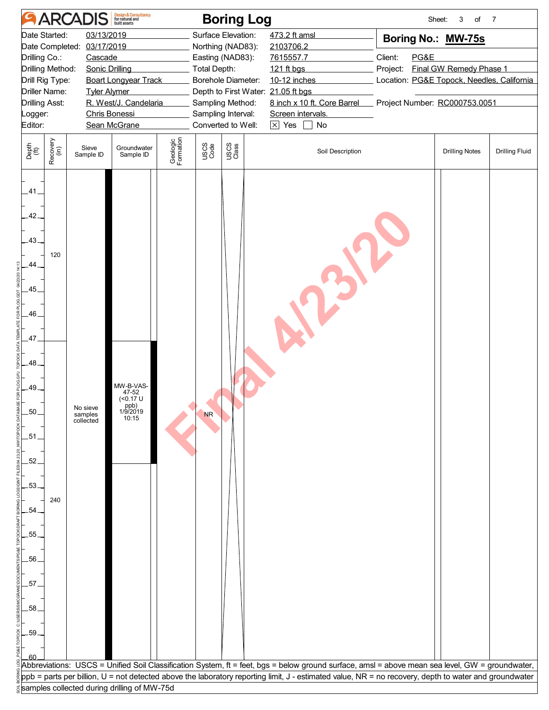|                                                                                                                                            |                                                                                                                                                                                                                                                                                                                               | <b>ARCADIS</b>                   | Design & Consultancy<br>for natural and                     |                       |                                                                                                                                                                                                                | <b>Boring Log</b> |                                                                                                                                                                            |                                                                                                                                                                    | 3<br>Sheet:<br>of     | $\overline{7}$        |  |
|--------------------------------------------------------------------------------------------------------------------------------------------|-------------------------------------------------------------------------------------------------------------------------------------------------------------------------------------------------------------------------------------------------------------------------------------------------------------------------------|----------------------------------|-------------------------------------------------------------|-----------------------|----------------------------------------------------------------------------------------------------------------------------------------------------------------------------------------------------------------|-------------------|----------------------------------------------------------------------------------------------------------------------------------------------------------------------------|--------------------------------------------------------------------------------------------------------------------------------------------------------------------|-----------------------|-----------------------|--|
| Editor:                                                                                                                                    | 03/13/2019<br>Date Started:<br>Date Completed:<br>03/17/2019<br>Drilling Co.:<br>Cascade<br>Drilling Method:<br><b>Sonic Drilling</b><br>Drill Rig Type:<br><b>Boart Longyear Track</b><br>Driller Name:<br><b>Tyler Alymer</b><br>R. West/J. Candelaria<br><b>Drilling Asst:</b><br>Chris Bonessi<br>Logger:<br>Sean McGrane |                                  |                                                             |                       | Surface Elevation:<br>Northing (NAD83):<br>Easting (NAD83):<br><b>Total Depth:</b><br>Borehole Diameter:<br>Depth to First Water: 21.05 ft bgs<br>Sampling Method:<br>Sampling Interval:<br>Converted to Well: |                   | 473.2 ft amsl<br>2103706.2<br>7615557.7<br>121 ft bgs<br>10-12 inches<br>8 inch x 10 ft. Core Barrel<br>Screen intervals.<br>$\boxed{\times}$ Yes $\boxed{\phantom{1}}$ No | Boring No.: MW-75s<br>Client:<br>PG&E<br><b>Final GW Remedy Phase 1</b><br>Project:<br>Location: PG&E Topock, Needles, California<br>Project Number: RC000753.0051 |                       |                       |  |
| Depth<br>$\widetilde{f(t)}$                                                                                                                | Recovery<br>(in)                                                                                                                                                                                                                                                                                                              | Sieve<br>Sample ID               | Groundwater<br>Sample ID                                    | Geologic<br>Formation | USCS<br>Code                                                                                                                                                                                                   | USCS<br>Class     | Soil Description                                                                                                                                                           |                                                                                                                                                                    | <b>Drilling Notes</b> | <b>Drilling Fluid</b> |  |
| .41.<br>42.<br>$-43.$<br>44<br>.45<br>.46<br>47<br>$-48$<br>.49.<br>.50<br>.51<br>52<br>.53<br>54<br>.55<br>.56.<br>57<br>.58<br>.59<br>60 | 120<br>240                                                                                                                                                                                                                                                                                                                    | No sieve<br>samples<br>collected | MW-B-VAS-<br>47-52<br>(<0.17 U<br>ppb)<br>1/9/2019<br>10:15 |                       | <b>NR</b>                                                                                                                                                                                                      |                   |                                                                                                                                                                            |                                                                                                                                                                    |                       |                       |  |
|                                                                                                                                            |                                                                                                                                                                                                                                                                                                                               |                                  |                                                             |                       |                                                                                                                                                                                                                |                   | Abbreviations: USCS = Unified Soil Classification System, ft = feet, bgs = below ground surface, amsl = above mean sea level, GW = groundwater,                            |                                                                                                                                                                    |                       |                       |  |
|                                                                                                                                            |                                                                                                                                                                                                                                                                                                                               |                                  | samples collected during drilling of MW-75d                 |                       |                                                                                                                                                                                                                |                   | ppb = parts per billion, U = not detected above the laboratory reporting limit, J - estimated value, NR = no recovery, depth to water and groundwater                      |                                                                                                                                                                    |                       |                       |  |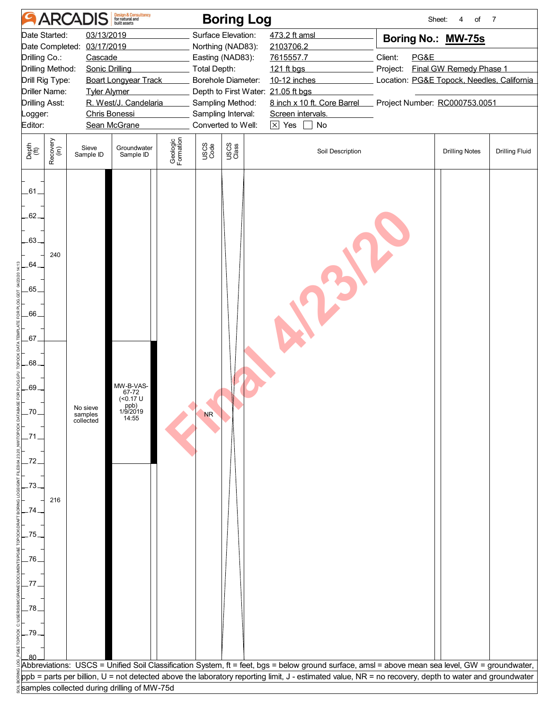|                                                                                        |                                                                                                                                                                                                                                                                                                                 | <b>ARCADIS</b>                   | Design & Consultancy<br>for natural and                    |                       |                                                                                                                                                                                                                                                                                                            | <b>Boring Log</b> |                                                                                                                                                       |                                                                                                                                                                    | Sheet:<br>of<br>4     | $\overline{7}$        |  |
|----------------------------------------------------------------------------------------|-----------------------------------------------------------------------------------------------------------------------------------------------------------------------------------------------------------------------------------------------------------------------------------------------------------------|----------------------------------|------------------------------------------------------------|-----------------------|------------------------------------------------------------------------------------------------------------------------------------------------------------------------------------------------------------------------------------------------------------------------------------------------------------|-------------------|-------------------------------------------------------------------------------------------------------------------------------------------------------|--------------------------------------------------------------------------------------------------------------------------------------------------------------------|-----------------------|-----------------------|--|
| Logger:<br>Editor:                                                                     | Date Started:<br>03/13/2019<br>Date Completed: 03/17/2019<br>Drilling Co.:<br>Cascade<br>Drilling Method:<br><b>Sonic Drilling</b><br><b>Boart Longyear Track</b><br>Drill Rig Type:<br>Driller Name:<br><b>Tyler Alymer</b><br>R. West/J. Candelaria<br><b>Drilling Asst:</b><br>Chris Bonessi<br>Sean McGrane |                                  |                                                            |                       | Surface Elevation:<br>Northing (NAD83):<br>2103706.2<br>Easting (NAD83):<br>7615557.7<br>Total Depth:<br>121 ft bgs<br>Borehole Diameter:<br>10-12 inches<br>Depth to First Water: 21.05 ft bgs<br>Sampling Method:<br>Sampling Interval:<br>Screen intervals.<br>$\times$ Yes<br>Converted to Well:<br>No |                   | 473.2 ft amsl<br>8 inch x 10 ft. Core Barrel                                                                                                          | Boring No.: MW-75s<br>Client:<br>PG&E<br><b>Final GW Remedy Phase 1</b><br>Project:<br>Location: PG&E Topock, Needles, California<br>Project Number: RC000753.0051 |                       |                       |  |
| Depth<br>(ft)                                                                          | Recovery<br>(in)                                                                                                                                                                                                                                                                                                | Sieve<br>Sample ID               | Groundwater<br>Sample ID                                   | Geologic<br>Formation | USCS<br>Code                                                                                                                                                                                                                                                                                               | USCS<br>Class     | Soil Description                                                                                                                                      |                                                                                                                                                                    | <b>Drilling Notes</b> | <b>Drilling Fluid</b> |  |
| $-61.$<br>$-62$<br>$-63$<br>.64.<br>.65<br>$-66$<br>67<br>.68.<br>.69.<br>FOR<br>$-70$ | 240                                                                                                                                                                                                                                                                                                             | No sieve<br>samples<br>collected | MW-B-VAS-<br>67-72<br>(50.17)<br>ppb)<br>1/9/2019<br>14:55 |                       | <b>NR</b>                                                                                                                                                                                                                                                                                                  |                   |                                                                                                                                                       |                                                                                                                                                                    |                       |                       |  |
| $-73$<br>.74<br>$-75.$<br>.76<br>.77<br>.78<br>-79.<br>80                              | 216                                                                                                                                                                                                                                                                                                             |                                  |                                                            |                       |                                                                                                                                                                                                                                                                                                            |                   |                                                                                                                                                       |                                                                                                                                                                    |                       |                       |  |
|                                                                                        |                                                                                                                                                                                                                                                                                                                 |                                  |                                                            |                       |                                                                                                                                                                                                                                                                                                            |                   | Abbreviations: USCS = Unified Soil Classification System, ft = feet, bgs = below ground surface, amsl = above mean sea level, GW = groundwater,       |                                                                                                                                                                    |                       |                       |  |
|                                                                                        |                                                                                                                                                                                                                                                                                                                 |                                  | samples collected during drilling of MW-75d                |                       |                                                                                                                                                                                                                                                                                                            |                   | ppb = parts per billion, U = not detected above the laboratory reporting limit, J - estimated value, NR = no recovery, depth to water and groundwater |                                                                                                                                                                    |                       |                       |  |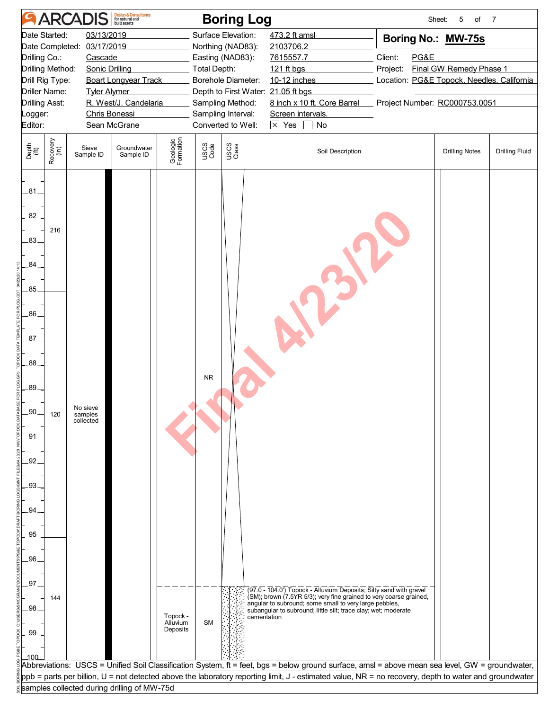|                                                                                                                                                                                                                                                                                                                                          |                  | <b>ARCADIS</b>                   | Design & Consultancy<br>for natural and     |                                  |                                                                                                                                                                                                         | <b>Boring Log</b> |                                                                                                                                                                                                                                                                      |                                                                                                                                                             | 5<br>Sheet:<br>of     | $\overline{7}$        |
|------------------------------------------------------------------------------------------------------------------------------------------------------------------------------------------------------------------------------------------------------------------------------------------------------------------------------------------|------------------|----------------------------------|---------------------------------------------|----------------------------------|---------------------------------------------------------------------------------------------------------------------------------------------------------------------------------------------------------|-------------------|----------------------------------------------------------------------------------------------------------------------------------------------------------------------------------------------------------------------------------------------------------------------|-------------------------------------------------------------------------------------------------------------------------------------------------------------|-----------------------|-----------------------|
| 03/13/2019<br>Date Started:<br>Date Completed:<br>03/17/2019<br>Drilling Co.:<br>Cascade<br>Drilling Method:<br><b>Sonic Drilling</b><br>Drill Rig Type:<br><b>Boart Longyear Track</b><br>Driller Name:<br><b>Tyler Alymer</b><br>R. West/J. Candelaria<br><b>Drilling Asst:</b><br>Chris Bonessi<br>Logger:<br>Editor:<br>Sean McGrane |                  |                                  |                                             |                                  | Surface Elevation:<br>Northing (NAD83):<br>Easting (NAD83):<br>Total Depth:<br>Borehole Diameter:<br>Depth to First Water: 21.05 ft bgs<br>Sampling Method:<br>Sampling Interval:<br>Converted to Well: |                   | 473.2 ft amsl<br>2103706.2<br>7615557.7<br>121 ft bgs<br>10-12 inches<br>8 inch x 10 ft. Core Barrel<br>Screen intervals.<br>$\times$ Yes<br>No                                                                                                                      | Boring No.: MW-75s<br>PG&E<br>Client:<br>Final GW Remedy Phase 1<br>Project:<br>Location: PG&E Topock, Needles, California<br>Project Number: RC000753.0051 |                       |                       |
| Depth<br>(ft)                                                                                                                                                                                                                                                                                                                            | Recovery<br>(in) | Sieve<br>Sample ID               | Groundwater<br>Sample ID                    | Geologic<br>Formation            | USCS<br>Code                                                                                                                                                                                            | USCS<br>Class     | Soil Description                                                                                                                                                                                                                                                     |                                                                                                                                                             | <b>Drilling Notes</b> | <b>Drilling Fluid</b> |
| $-81$<br>.82.<br>.83.<br>84.<br>.85                                                                                                                                                                                                                                                                                                      | 216              |                                  |                                             |                                  |                                                                                                                                                                                                         |                   |                                                                                                                                                                                                                                                                      |                                                                                                                                                             |                       |                       |
| .86.<br>.87.<br>.88.<br>.89.<br>.90                                                                                                                                                                                                                                                                                                      | 120              | No sieve<br>samples<br>collected |                                             |                                  | <b>NR</b>                                                                                                                                                                                               |                   |                                                                                                                                                                                                                                                                      |                                                                                                                                                             |                       |                       |
| .91<br>92<br>.93<br>94<br>.95                                                                                                                                                                                                                                                                                                            |                  |                                  |                                             |                                  |                                                                                                                                                                                                         |                   |                                                                                                                                                                                                                                                                      |                                                                                                                                                             |                       |                       |
| .96<br>.97.<br>.98<br>-99<br>10C                                                                                                                                                                                                                                                                                                         | 144              |                                  |                                             | Topock -<br>Alluvium<br>Deposits | <b>SM</b>                                                                                                                                                                                               | cementation       | (97.0 - 104.0') Topock - Alluvium Deposits; Silty sand with gravel<br>(SM); brown (7.5YR 5/3); very fine grained to very coarse grained,<br>angular to subround; some small to very large pebbles,<br>subangular to subround; little silt; trace clay; wet; moderate |                                                                                                                                                             |                       |                       |
|                                                                                                                                                                                                                                                                                                                                          |                  |                                  |                                             |                                  |                                                                                                                                                                                                         |                   | Abbreviations:  USCS = Unified Soil Classification System, ft = feet, bgs = below ground surface, amsl = above mean sea level, GW = groundwater,                                                                                                                     |                                                                                                                                                             |                       |                       |
|                                                                                                                                                                                                                                                                                                                                          |                  |                                  | samples collected during drilling of MW-75d |                                  |                                                                                                                                                                                                         |                   | ppb = parts per billion, U = not detected above the laboratory reporting limit, J - estimated value, NR = no recovery, depth to water and groundwater                                                                                                                |                                                                                                                                                             |                       |                       |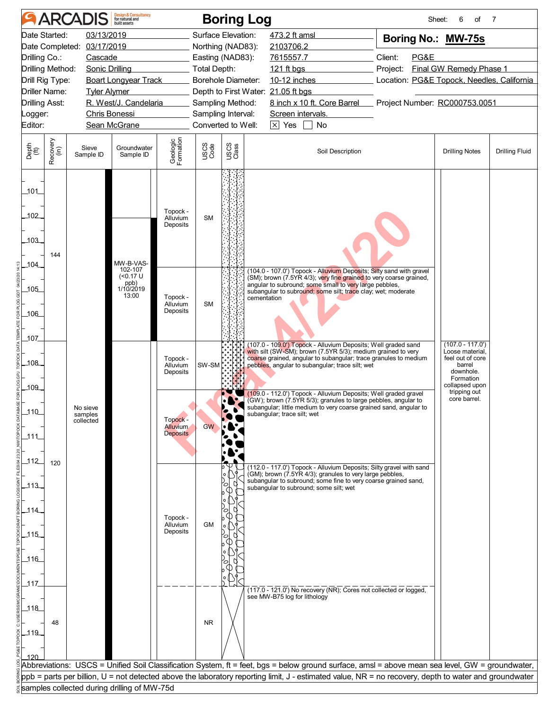|                                                                     |                  | <b>ARCADIS</b>                      | <b>Design &amp; Consultancy</b><br>for natural and            |                                                |                     | <b>Boring Log</b>                                            |                                                                                                                                                                                                                                                                                                          |                                       | 6<br>of<br>Sheet:                                                                                               | 7                     |  |
|---------------------------------------------------------------------|------------------|-------------------------------------|---------------------------------------------------------------|------------------------------------------------|---------------------|--------------------------------------------------------------|----------------------------------------------------------------------------------------------------------------------------------------------------------------------------------------------------------------------------------------------------------------------------------------------------------|---------------------------------------|-----------------------------------------------------------------------------------------------------------------|-----------------------|--|
| Date Started:<br>Date Completed:<br>Drilling Co.:                   |                  | 03/13/2019<br>03/17/2019<br>Cascade |                                                               |                                                |                     | Surface Elevation:<br>Northing (NAD83):<br>Easting (NAD83):  | 473.2 ft amsl<br>2103706.2<br>7615557.7                                                                                                                                                                                                                                                                  | Boring No.: MW-75s<br>Client:<br>PG&E |                                                                                                                 |                       |  |
| Drilling Method:<br>Drill Rig Type:                                 |                  | Sonic Drilling                      | <b>Boart Longyear Track</b>                                   |                                                | <b>Total Depth:</b> | Borehole Diameter:                                           | 121 ft bgs<br>10-12 inches                                                                                                                                                                                                                                                                               | Project:                              | Final GW Remedy Phase 1<br>Location: PG&E Topock, Needles, California                                           |                       |  |
| <b>Driller Name:</b><br><b>Drilling Asst:</b><br>_ogger:<br>Editor: |                  | <b>Tyler Alymer</b>                 | R. West/J. Candelaria<br><b>Chris Bonessi</b><br>Sean McGrane |                                                |                     | Sampling Method:<br>Sampling Interval:<br>Converted to Well: | Depth to First Water: 21.05 ft bgs<br>8 inch x 10 ft. Core Barrel<br>Screen intervals.<br>$\boxed{\times}$ Yes $\boxed{\phantom{0}}$ No                                                                                                                                                                  | Project Number: RC000753.0051         |                                                                                                                 |                       |  |
|                                                                     |                  |                                     |                                                               |                                                |                     |                                                              |                                                                                                                                                                                                                                                                                                          |                                       |                                                                                                                 |                       |  |
| Depth<br>(ft)                                                       | Recovery<br>(in) | Sieve<br>Sample ID                  | Groundwater<br>Sample ID                                      | Geologic<br>Formation                          | USCS<br>Code        | USCS<br>Class                                                | Soil Description                                                                                                                                                                                                                                                                                         |                                       | <b>Drilling Notes</b>                                                                                           | <b>Drilling Fluid</b> |  |
| $-101$<br>$-102$                                                    |                  |                                     |                                                               | Topock -<br>Alluvium<br>Deposits               | <b>SM</b>           |                                                              |                                                                                                                                                                                                                                                                                                          |                                       |                                                                                                                 |                       |  |
| 103                                                                 | 144              |                                     | MW-B-VAS-                                                     |                                                |                     |                                                              |                                                                                                                                                                                                                                                                                                          |                                       |                                                                                                                 |                       |  |
| $-104$<br>105<br>106                                                |                  |                                     | 102-107<br>$(0.17 \text{ U}$<br>ppb)<br>1/10/2019<br>13:00    | Topock -<br>Alluvium<br>Deposits               | <b>SM</b>           | cementation                                                  | (104.0 - 107.0') Topock - Alluvium Deposits; Silty sand with gravel<br>(SM); brown (7.5YR 4/3); very fine grained to very coarse grained,<br>angular to subround; some small to very large pebbles,<br>subangular to subround; some silt; trace clay; wet; moderate                                      |                                       |                                                                                                                 |                       |  |
| 107<br>_108_<br>109                                                 |                  |                                     |                                                               | Topock -<br>Alluvium<br>Deposits               | SW-SM               |                                                              | (107.0 - 109.0') Topock - Alluvium Deposits; Well graded sand<br>with silt (SW-SM); brown (7.5YR 5/3); medium grained to very<br>coarse grained, angular to subangular; trace granules to medium<br>pebbles, angular to subangular; trace silt; wet                                                      |                                       | $(107.0 - 117.0')$<br>Loose material.<br>feel out of core<br>barrel<br>downhole.<br>Formation<br>collapsed upon |                       |  |
| $-110$<br>111                                                       |                  | No sieve<br>samples<br>collected    |                                                               | Topock -<br><b>Alluvium</b><br><b>Deposits</b> | GW                  |                                                              | (109.0 - 112.0') Topock - Alluvium Deposits; Well graded gravel<br>(GW); brown (7.5YR 5/3); granules to large pebbles, angular to<br>subangular; little medium to very coarse grained sand, angular to<br>subangular; trace silt; wet                                                                    |                                       | tripping out<br>core barrel.                                                                                    |                       |  |
| $-112$<br>113<br>_114_                                              | 120              |                                     |                                                               | Topock -<br>Alluvium                           | <b>GM</b>           |                                                              | (112.0 - 117.0') Topock - Alluvium Deposits; Silty gravel with sand<br>(GM); brown (7.5YR 4/3); granules to very large pebbles,<br>subangular to subround; some fine to very coarse grained sand,<br>subangular to subround; some silt; wet                                                              |                                       |                                                                                                                 |                       |  |
| $-115$<br>_116_                                                     |                  |                                     |                                                               | Deposits                                       |                     |                                                              |                                                                                                                                                                                                                                                                                                          |                                       |                                                                                                                 |                       |  |
| _117_<br>118<br>$-119$                                              | 48               |                                     |                                                               |                                                | <b>NR</b>           |                                                              | (117.0 - 121.0) No recovery (NR); Cores not collected or logged,<br>see MW-B75 log for lithology                                                                                                                                                                                                         |                                       |                                                                                                                 |                       |  |
|                                                                     |                  |                                     |                                                               |                                                |                     |                                                              | Abbreviations: USCS = Unified Soil Classification System, ft = feet, bgs = below ground surface, amsl = above mean sea level, GW = groundwater,<br>ppb = parts per billion, U = not detected above the laboratory reporting limit, J - estimated value, NR = no recovery, depth to water and groundwater |                                       |                                                                                                                 |                       |  |
|                                                                     |                  |                                     | samples collected during drilling of MW-75d                   |                                                |                     |                                                              |                                                                                                                                                                                                                                                                                                          |                                       |                                                                                                                 |                       |  |